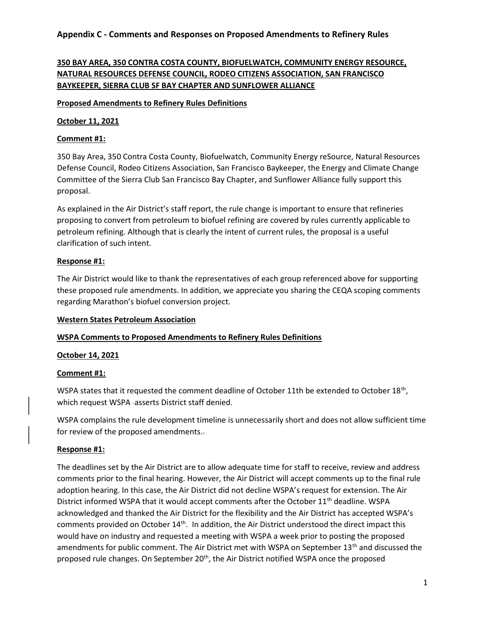# 350 BAY AREA, 350 CONTRA COSTA COUNTY, BIOFUELWATCH, COMMUNITY ENERGY RESOURCE, NATURAL RESOURCES DEFENSE COUNCIL, RODEO CITIZENS ASSOCIATION, SAN FRANCISCO BAYKEEPER, SIERRA CLUB SF BAY CHAPTER AND SUNFLOWER ALLIANCE

### Proposed Amendments to Refinery Rules Definitions

### October 11, 2021

## Comment #1:

350 Bay Area, 350 Contra Costa County, Biofuelwatch, Community Energy reSource, Natural Resources Defense Council, Rodeo Citizens Association, San Francisco Baykeeper, the Energy and Climate Change Committee of the Sierra Club San Francisco Bay Chapter, and Sunflower Alliance fully support this proposal.

As explained in the Air District's staff report, the rule change is important to ensure that refineries proposing to convert from petroleum to biofuel refining are covered by rules currently applicable to petroleum refining. Although that is clearly the intent of current rules, the proposal is a useful clarification of such intent.

## Response #1:

The Air District would like to thank the representatives of each group referenced above for supporting these proposed rule amendments. In addition, we appreciate you sharing the CEQA scoping comments regarding Marathon's biofuel conversion project.

#### Western States Petroleum Association

## WSPA Comments to Proposed Amendments to Refinery Rules Definitions

#### October 14, 2021

#### Comment #1:

WSPA states that it requested the comment deadline of October 11th be extended to October  $18<sup>th</sup>$ , which request WSPA -asserts District staff denied.

WSPA complains the rule development timeline is unnecessarily short and does not allow sufficient time for review of the proposed amendments..

#### Response #1:

The deadlines set by the Air District are to allow adequate time for staff to receive, review and address comments prior to the final hearing. However, the Air District will accept comments up to the final rule adoption hearing. In this case, the Air District did not decline WSPA's request for extension. The Air District informed WSPA that it would accept comments after the October 11<sup>th</sup> deadline. WSPA acknowledged and thanked the Air District for the flexibility and the Air District has accepted WSPA's comments provided on October 14<sup>th</sup>. In addition, the Air District understood the direct impact this would have on industry and requested a meeting with WSPA a week prior to posting the proposed amendments for public comment. The Air District met with WSPA on September 13<sup>th</sup> and discussed the proposed rule changes. On September 20<sup>th</sup>, the Air District notified WSPA once the proposed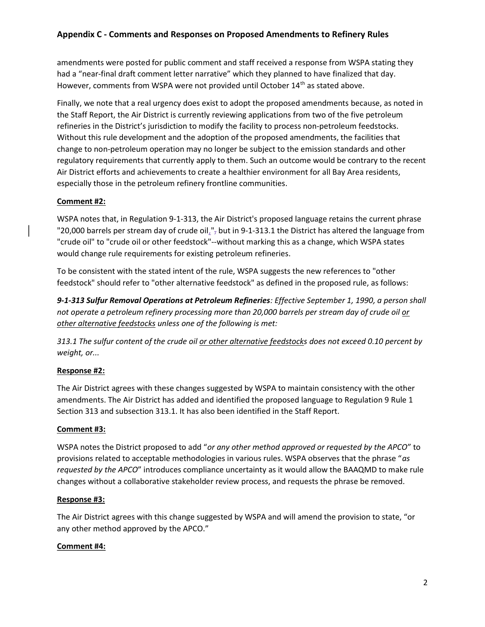amendments were posted for public comment and staff received a response from WSPA stating they had a "near-final draft comment letter narrative" which they planned to have finalized that day. However, comments from WSPA were not provided until October 14<sup>th</sup> as stated above.

Finally, we note that a real urgency does exist to adopt the proposed amendments because, as noted in the Staff Report, the Air District is currently reviewing applications from two of the five petroleum refineries in the District's jurisdiction to modify the facility to process non-petroleum feedstocks. Without this rule development and the adoption of the proposed amendments, the facilities that change to non-petroleum operation may no longer be subject to the emission standards and other regulatory requirements that currently apply to them. Such an outcome would be contrary to the recent Air District efforts and achievements to create a healthier environment for all Bay Area residents, especially those in the petroleum refinery frontline communities.

## Comment #2:

WSPA notes that, in Regulation 9-1-313, the Air District's proposed language retains the current phrase "20,000 barrels per stream day of crude oil $\frac{1}{2}$ , but in 9-1-313.1 the District has altered the language from "crude oil" to "crude oil or other feedstock"--without marking this as a change, which WSPA states would change rule requirements for existing petroleum refineries.

To be consistent with the stated intent of the rule, WSPA suggests the new references to "other feedstock" should refer to "other alternative feedstock" as defined in the proposed rule, as follows:

9-1-313 Sulfur Removal Operations at Petroleum Refineries: Effective September 1, 1990, a person shall not operate a petroleum refinery processing more than 20,000 barrels per stream day of crude oil or other alternative feedstocks unless one of the following is met:

313.1 The sulfur content of the crude oil or other alternative feedstocks does not exceed 0.10 percent by weight, or...

## Response #2:

The Air District agrees with these changes suggested by WSPA to maintain consistency with the other amendments. The Air District has added and identified the proposed language to Regulation 9 Rule 1 Section 313 and subsection 313.1. It has also been identified in the Staff Report.

#### Comment #3:

WSPA notes the District proposed to add "or any other method approved or requested by the APCO" to provisions related to acceptable methodologies in various rules. WSPA observes that the phrase "as requested by the APCO" introduces compliance uncertainty as it would allow the BAAQMD to make rule changes without a collaborative stakeholder review process, and requests the phrase be removed.

#### Response #3:

The Air District agrees with this change suggested by WSPA and will amend the provision to state, "or any other method approved by the APCO."

#### Comment #4: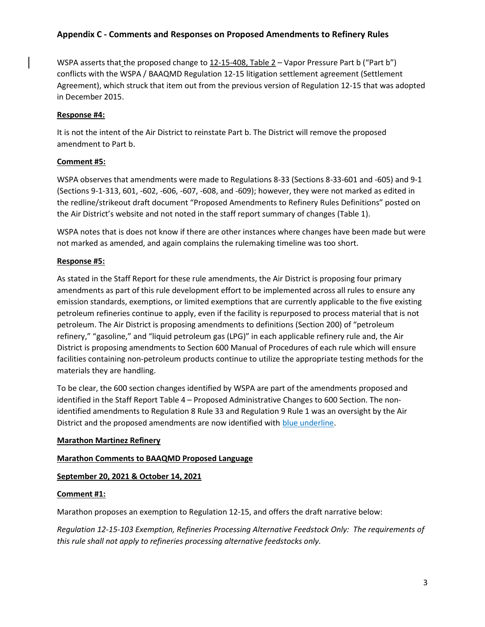WSPA asserts that the proposed change to 12-15-408, Table 2 – Vapor Pressure Part b ("Part b") conflicts with the WSPA / BAAQMD Regulation 12-15 litigation settlement agreement (Settlement Agreement), which struck that item out from the previous version of Regulation 12-15 that was adopted in December 2015.

#### Response #4:

It is not the intent of the Air District to reinstate Part b. The District will remove the proposed amendment to Part b.

## Comment #5:

WSPA observes that amendments were made to Regulations 8-33 (Sections 8-33-601 and -605) and 9-1 (Sections 9-1-313, 601, -602, -606, -607, -608, and -609); however, they were not marked as edited in the redline/strikeout draft document "Proposed Amendments to Refinery Rules Definitions" posted on the Air District's website and not noted in the staff report summary of changes (Table 1).

WSPA notes that is does not know if there are other instances where changes have been made but were not marked as amended, and again complains the rulemaking timeline was too short.

## Response #5:

As stated in the Staff Report for these rule amendments, the Air District is proposing four primary amendments as part of this rule development effort to be implemented across all rules to ensure any emission standards, exemptions, or limited exemptions that are currently applicable to the five existing petroleum refineries continue to apply, even if the facility is repurposed to process material that is not petroleum. The Air District is proposing amendments to definitions (Section 200) of "petroleum refinery," "gasoline," and "liquid petroleum gas (LPG)" in each applicable refinery rule and, the Air District is proposing amendments to Section 600 Manual of Procedures of each rule which will ensure facilities containing non-petroleum products continue to utilize the appropriate testing methods for the materials they are handling.

To be clear, the 600 section changes identified by WSPA are part of the amendments proposed and identified in the Staff Report Table 4 – Proposed Administrative Changes to 600 Section. The nonidentified amendments to Regulation 8 Rule 33 and Regulation 9 Rule 1 was an oversight by the Air District and the proposed amendments are now identified with blue underline.

#### Marathon Martinez Refinery

#### Marathon Comments to BAAQMD Proposed Language

#### September 20, 2021 & October 14, 2021

#### Comment #1:

Marathon proposes an exemption to Regulation 12-15, and offers the draft narrative below:

Regulation 12-15-103 Exemption, Refineries Processing Alternative Feedstock Only: The requirements of this rule shall not apply to refineries processing alternative feedstocks only.